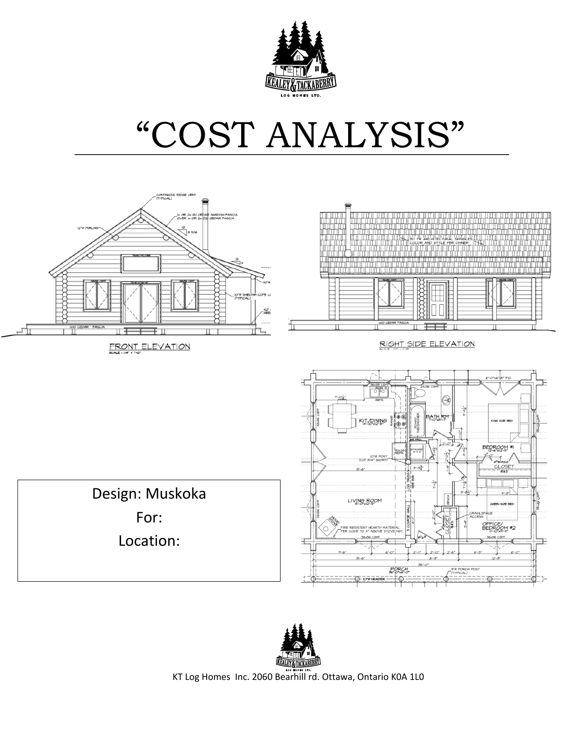

# "COST ANALYSIS"



FRONT ELEVATION



RIGHT SIDE ELEVATION

Design: Muskoka For: Location: 



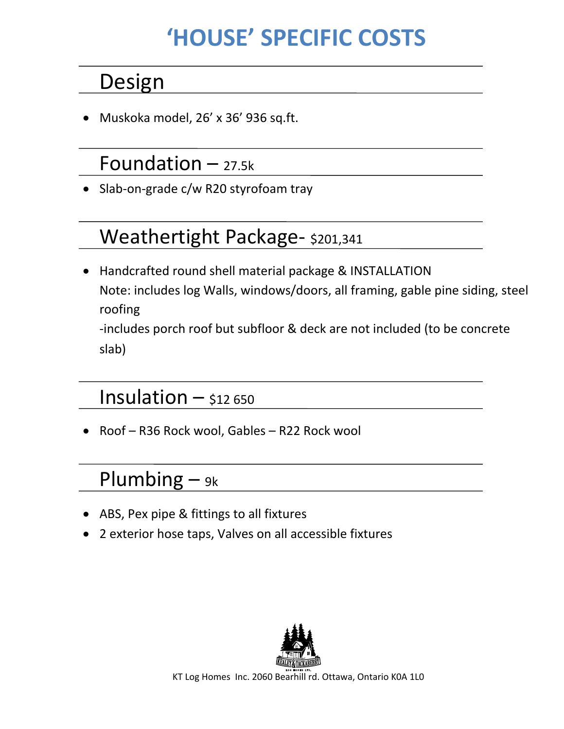# **'HOUSE' SPECIFIC COSTS**

#### Design

Muskoka model, 26' x 36' 936 sq.ft.

#### Foundation  $-$  27.5k

Slab-on-grade c/w R20 styrofoam tray

#### Weathertight Package- \$201,341

• Handcrafted round shell material package & INSTALLATION Note: includes log Walls, windows/doors, all framing, gable pine siding, steel roofing -includes porch roof but subfloor & deck are not included (to be concrete

slab)

#### Insulation  $-$  \$12 650

• Roof - R36 Rock wool, Gables - R22 Rock wool

#### Plumbing  $-$  9k

- ABS, Pex pipe & fittings to all fixtures
- 2 exterior hose taps, Valves on all accessible fixtures

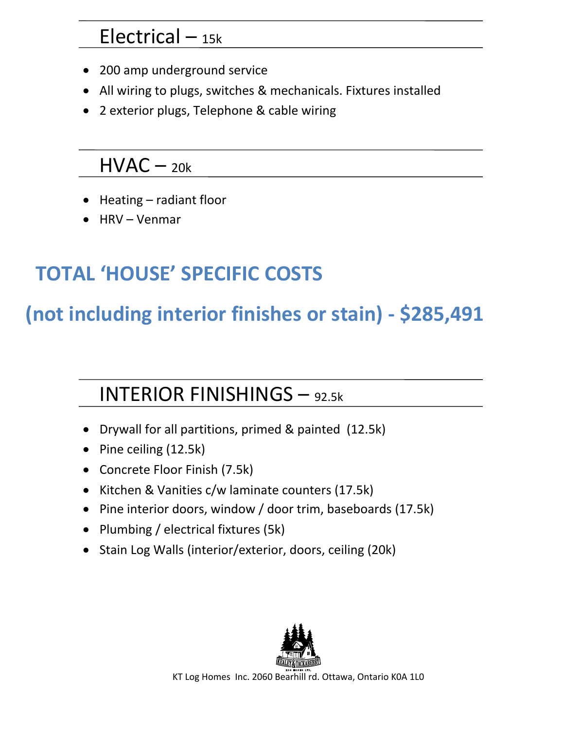#### $Electrical - 15k$

- 200 amp underground service
- All wiring to plugs, switches & mechanicals. Fixtures installed
- 2 exterior plugs, Telephone & cable wiring

#### $HVAC - 20k$

- $\bullet$  Heating radiant floor
- $\bullet$  HRV Venmar

# **TOTAL 'HOUSE' SPECIFIC COSTS**

### **(not including interior finishes or stain) - \$285,491**

#### INTERIOR FINISHINGS – 92.5k

- Drywall for all partitions, primed & painted (12.5k)
- Pine ceiling  $(12.5k)$
- Concrete Floor Finish (7.5k)
- Kitchen & Vanities c/w laminate counters (17.5k)
- Pine interior doors, window / door trim, baseboards (17.5k)
- Plumbing / electrical fixtures (5k)
- Stain Log Walls (interior/exterior, doors, ceiling (20k)